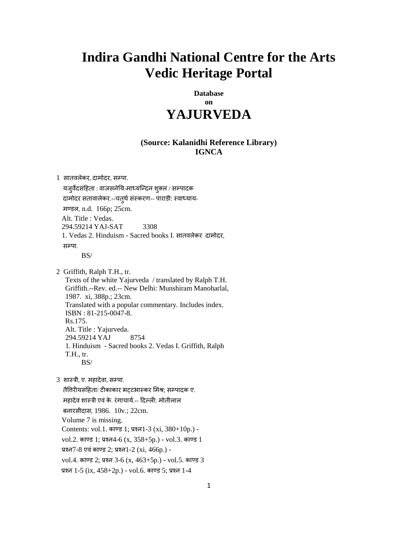# **Indira Gandhi National Centre for the Arts Vedic Heritage Portal**

**Database on YAJURVEDA** 

## **(Source: Kalanidhi Reference Library) IGNCA**

1 सातवलेकर, दामोदर, सम्पा.

यजुर्वेदसंहिता : वाजसनेयि-माध्यन्दिन शुक्ल / सम्पादक दामोदर सतावालेकर.--चत्थै संस्करण-- पाराडी: स्वाध्याय- भण्डर, n.d. 166p; 25cm. Alt. Title : Vedas. 294.59214 YAJ-SAT 3308 1. Vedas 2. Hinduism - Sacred books I. वातलरेकय दाभोदय, मम्पा BS/

 2 Griffith, Ralph T.H., tr. Texts of the white Yajurveda / translated by Ralph T.H. Griffith.--Rev. ed.-- New Delhi: Munshiram Manoharlal, 1987. xi, 388p.; 23cm. Translated with a popular commentary. Includes index. ISBN : 81-215-0047-8. Rs.175. Alt. Title : Yajurveda. 294.59214 YAJ 8754 1. Hinduism - Sacred books 2. Vedas I. Griffith, Ralph T.H., tr. BS/

3 शास्त्री, ए. महादेवा, सम्पा.

तैतिरीयसंहिता/ टीकाकार भट्टभास्कर मिश्र; सम्पादक ए. महादेव शास्त्री एवं के. रंगाचार्य.-- दिल्ली: मोतीलाल फनायवीदाव, 1986. 10v.; 22cm. Volume 7 is missing. Contents: vol.1. काण्ड 1; प्रश्न1-3 (xi, 380+10p.) vol.2. काण्ड 1; प्रश्न4-6 (x, 358+5p.) - vol.3. काण्ड 1 प्रश्न7-8 एवं काण्ड 2; प्रश्न1-2 (xi, 466p.) vol.4. काण्ड 2; प्रश्न 3-6 (x, 463+5p.) - vol.5. काण्ड 3 प्रश्न 1-5 (ix, 458+2p.) - vol.6. काण्ड 5; प्रश्न 1-4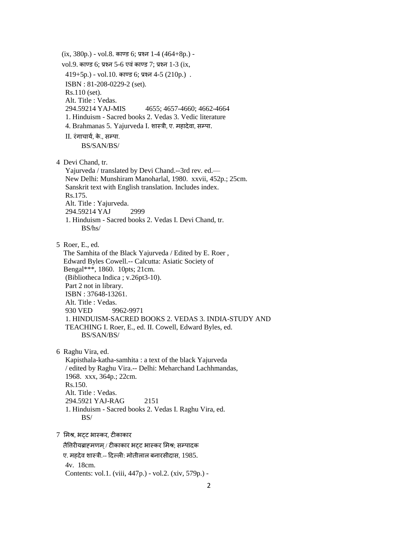$(ix, 380p.)$  - vol.8. काण्ड 6; प्रश्न 1-4 (464+8p.)  $vol.9.$  काण्ड 6; प्रश्न 5-6 एवं काण्ड 7; प्रश्न 1-3 (ix,  $419+5p.$ ) - vol.10. काण्ड 6; प्रश्न 4-5 (210p.). ISBN : 81-208-0229-2 (set). Rs.110 (set). Alt. Title : Vedas.<br>294.59214 YAJ-MIS 4655; 4657-4660; 4662-4664 1. Hinduism - Sacred books 2. Vedas 3. Vedic literature 4. Brahmanas 5. Yajurveda I. शास्त्री, ए. महादेवा, सम्पा. II. रंगाचार्य. के., सम्पा. BS/SAN/BS/ 4 Devi Chand, tr. Yajurveda / translated by Devi Chand.--3rd rev. ed.— New Delhi: Munshiram Manoharlal, 1980. xxvii, 452p.; 25cm. Sanskrit text with English translation. Includes index. Rs.175. Alt. Title : Yajurveda. 294.59214 YAJ 2999 1. Hinduism - Sacred books 2. Vedas I. Devi Chand, tr. BS/hs/ 5 Roer, E., ed. The Samhita of the Black Yajurveda / Edited by E. Roer , Edward Byles Cowell.-- Calcutta: Asiatic Society of Bengal\*\*\*, 1860. 10pts; 21cm. (Bibliotheca Indica ; v.26pt3-10). Part 2 not in library. ISBN : 37648-13261. Alt. Title : Vedas. 930 VED 9962-9971 1. HINDUISM-SACRED BOOKS 2. VEDAS 3. INDIA-STUDY AND TEACHING I. Roer, E., ed. II. Cowell, Edward Byles, ed. BS/SAN/BS/ 6 Raghu Vira, ed. Kapisthala-katha-samhita : a text of the black Yajurveda / edited by Raghu Vira.-- Delhi: Meharchand Lachhmandas, 1968. xxx, 364p.; 22cm. Rs.150. Alt. Title : Vedas. 294.5921 YAJ-RAG 2151 1. Hinduism - Sacred books 2. Vedas I. Raghu Vira, ed. BS/ 7 मभश्र, बट्ट बास्कय, टीकाकाय तैतिरीयब्राहमणम् / टीकाकार भट्ट भास्कर मिश्र; सम्पादक ए. भशदेल ळास्री.-- हदल्री: भोतीरार फनायवीदाव, 1985. 4v. 18cm. Contents: vol.1. (viii, 447p.) - vol.2. (xiv, 579p.) -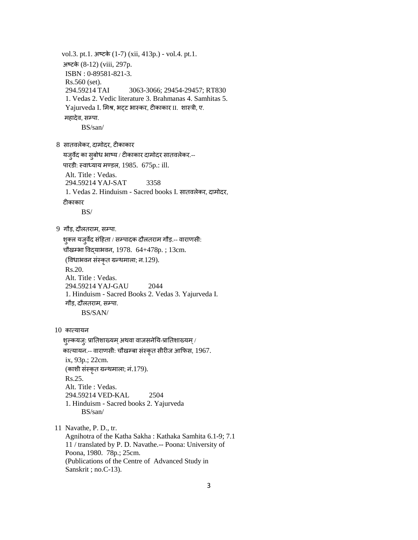vol.3. pt.1. अष्टके (1-7) (xii, 413p.) - vol.4. pt.1. अष्टके (8-12) (viii, 297p. ISBN : 0-89581-821-3. Rs.560 (set). 294.59214 TAI 3063-3066; 29454-29457; RT830 1. Vedas 2. Vedic literature 3. Brahmanas 4. Samhitas 5. Yajurveda I. मिश्र, भट्ट भास्कर, टीकाकार II. शास्त्री, ए. महादेव, सम्पा. BS/san/ 8 वातलरेकय, दाभोदय, टीकाकाय मजुलेद का वुफोध बाष्म / टीकाकाय दाभोदय वातलरेकय.-- ऩायडी: स्लाध्माम भण्डर, 1985. 675p.: ill. Alt. Title : Vedas. 294.59214 YAJ-SAT 3358 1. Vedas 2. Hinduism - Sacred books I. वातलरेकय, दाभोदय, टीकाकाय BS/ 9 गौड़, दौलतराम, सम्पा. शुक्ल यजुर्वेद संहिता / सम्पादक दौलतराम गौड़.-- वाराणसी: चौखम्भा विद्याभवन, 1978.  $64+478p$ .; 13cm. (विधाभवन संस्कृत ग्रन्थमाला; न.129). Rs.20. Alt. Title : Vedas. 294.59214 YAJ-GAU 2044 1. Hinduism - Sacred Books 2. Vedas 3. Yajurveda I. गौड़, दौलतराम, सम्पा. BS/SAN/ 10 कात्मामन शल्कयज्: प्रातिशाख्यम् अथवा वाजसनेयि-प्रातिशाख्यम् / कात्यायन.-- वाराणसी: चौखम्बा संस्कृत सीरीज आफिस, 1967. ix, 93p.; 22cm. (काशी संस्कृत ग्रन्थमाला; नं.179). Rs.25. Alt. Title : Vedas. 294.59214 VED-KAL 2504 1. Hinduism - Sacred books 2. Yajurveda BS/san/ 11 Navathe, P. D., tr. Agnihotra of the Katha Sakha : Kathaka Samhita 6.1-9; 7.1 11 / translated by P. D. Navathe.-- Poona: University of Poona, 1980. 78p.; 25cm. (Publications of the Centre of Advanced Study in Sanskrit ; no.C-13).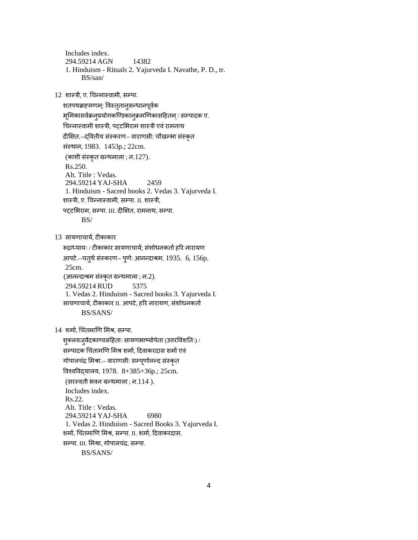Includes index. 294.59214 AGN 14382 1. Hinduism - Rituals 2. Yajurveda I. Navathe, P. D., tr. BS/san/

12 शास्त्री, ए. चिन्नास्वामी, सम्पा.

शतपथब्राहमणम्: विस्तृतान्सन्धानपूर्वक भूमिकासर्वक्रन्प्रयोगकण्डिकान्*क्रम*णिकासहितम् / सम्पादक ए. चिन्नास्वामी शास्त्री, पट्टभिराम शास्त्री एवं रामनाथ दीक्षित.--दवितीय संस्करण-- वाराणसी: चौखम्भा संस्कृत वॊस्थान, 1983. 1453p.; 22cm. (काशी संस्कृत ग्रन्थमाला ; न.127). Rs.250. Alt. Title : Vedas. 294.59214 YAJ-SHA 2459 1. Hinduism - Sacred books 2. Vedas 3. Yajurveda I. शास्त्री, ए. चिन्नास्वामी, सम्पा. II. शास्त्री, पट्टभिराम, सम्पा. III. दीक्षित, रामनाथ, सम्पा. BS/ 13 सायणाचार्य, टीकाकार रूद्राध्यायः / टीकाकार सायणाचार्य; संशोधनकर्ता हरि नारायण आपटे.--चतुर्थ संस्करण-- पुणे: आनन्दाश्रम, 1935. 6, 156p. 25cm.

(आनन्दाश्रम संस्कृत ग्रन्थमाला ; न.2).

294.59214 RUD 5375

1. Vedas 2. Hinduism - Sacred books 3. Yajurveda I.

सायणाचार्य, टीकाकार II. आपटे, हरि नारायण, संशोधनकर्ता BS/SANS/

14 शर्मा, चिंतमाणि मिश्र, सम्पा.

शुक्लयजुर्वेदकाण्वसंहिता: सायणभाष्योपेता (उत्तरविंशतिः) / सम्पादक चिंतामणि मिश्र शर्मा, दिवाकरदास शर्मा एवं गोपालचंद्र मिश्रा.-- वाराणसी: सम्पूर्णानन्द संस्कृत त्तलश्लत्तलद्मारम, 1978. 8+385+36p.; 25cm. (सरस्वती भवन ग्रन्थमाला ; न. $114$ ). Includes index. Rs.22. Alt. Title : Vedas. 294.59214 YAJ-SHA 6980 1. Vedas 2. Hinduism - Sacred Books 3. Yajurveda I. शर्मा, चिंतमाणि मिश्र, सम्पा. II. शर्मा, दिवाकरदास, सम्पा. III. मिश्रा, गोपालचंद्र, सम्पा.

BS/SANS/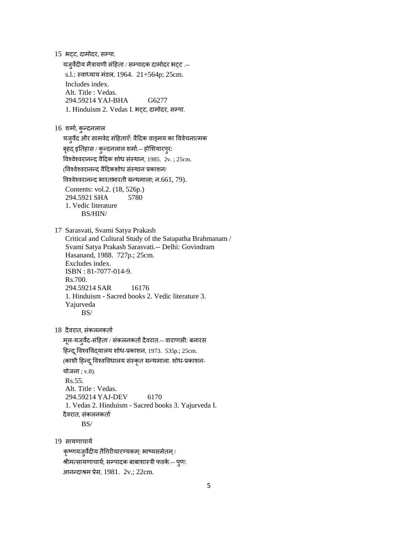15 भटट, दामोदर, सम्पा.

यजुर्वेदीय मैत्रायणी संहिता / सम्पादक दामोदर भट्ट .-s.l.: स्वाध्याय मंडल, 1964.  $21+564$ p; 25cm. Includes index. Alt. Title : Vedas. 294.59214 YAJ-BHA G6277 1. Hinduism 2. Vedas I. भटट, दामोदर, सम्पा.

 $16$  शर्मा, कुन्दनलाल

यजुर्वेद और सामवेद संहिताएँ: वैदिक वाङ्मय का विवेचनात्मक

बृहद् इतिहास / कुन्दनलाल शर्मा.-- होशियारपुर:

तिश्वेश्वरानन्द वैदिक शोध संस्थान, 1985. 2v. ; 25cm.

(विश्वेश्वरानन्द वैदिकशोध संस्थान प्रकाशन/

तिश्वेश्वरानन्द भारतभारती ग्रन्थमाला; न.661, 79).

 Contents: vol.2. (18, 526p.) 294.5921 SHA 5780 1. Vedic literature BS/HIN/

 17 Sarasvati, Svami Satya Prakash Critical and Cultural Study of the Satapatha Brahmanam / Svami Satya Prakash Sarasvati.-- Delhi: Govindram Hasanand, 1988. 727p.; 25cm. Excludes index. ISBN : 81-7077-014-9. Rs.700. 294.59214 SAR 16176 1. Hinduism - Sacred books 2. Vedic literature 3. Yajurveda BS/

18 दैवरात, संकलनकर्ता

मूल-यजुर्वेद-संहिता / संकलनकर्ता दैवरात.-- वाराणसी: बनारस हिन्दू विश्वविद्यालय शोध-प्रकाशन, 1973. 535p.; 25cm. (काशी हिन्दू विश्वविधालय संस्कृत ग्रन्थमाला. शोध-प्रकाशन-योजना $: v.8$ ). Rs.55. Alt. Title : Vedas. 294.59214 YAJ-DEV 6170 1. Vedas 2. Hinduism - Sacred books 3. Yajurveda I. दैवरात. संकलनकर्ता BS/

19 सायणाचार्य

कृष्णयजुर्वेदीय तैतिरीयारण्यकम्: भाष्यसमेतम् / श्रीमत्सायणाचार्य; सम्पादक बाबाशास्त्री फडके.-- पूण: आनददाश्रभ प्रेव, 1981. 2v.; 22cm.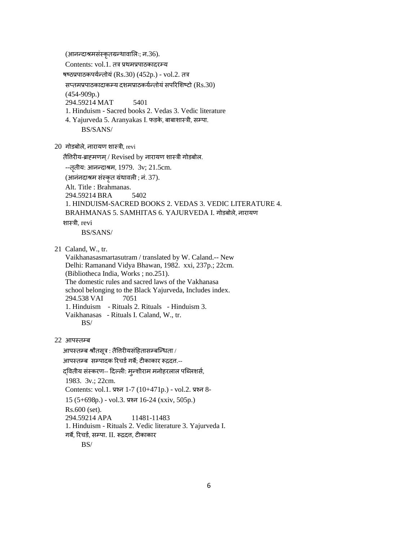(आनन्दाश्रमसंस्कृतग्रन्थावालिः; न.36).

Contents: vol.1. तत्र प्रथमप्रपाठकादरम्य

षष्ठप्रपाठकपर्यन्तोयं (Rs.30) (452p.) - vol.2. तत्र

सप्तमप्रपाठकादाकम्य दशमप्राठकर्यन्तोयं सपरिशिष्टो (Rs.30)

(454-909p.)

294.59214 MAT 5401

1. Hinduism - Sacred books 2. Vedas 3. Vedic literature

4. Yajurveda 5. Aranyakas I. फडके, बाबाशास्त्री, सम्पा. BS/SANS/

 $20$  गोडबोले, नारायण शास्त्री, revi

तैतिरीय-ब्राहमणम् / Revised by नारायण शास्त्री गोडबोल.

--तृतीय: आनन्दाश्रम, 1979. 3v; 21.5cm.

(आनंनदाश्रम संस्कृत ग्रंथावली ; नं. 37).

Alt. Title : Brahmanas.

294.59214 BRA 5402

1. HINDUISM-SACRED BOOKS 2. VEDAS 3. VEDIC LITERATURE 4.

BRAHMANAS 5. SAMHITAS 6. YAJURVEDA I. गोडफोरे, नायामण

## ळास्री, revi

BS/SANS/

21 Caland, W., tr.

 Vaikhanasasmartasutram / translated by W. Caland.-- New Delhi: Ramanand Vidya Bhawan, 1982. xxi, 237p.; 22cm. (Bibliotheca India, Works ; no.251). The domestic rules and sacred laws of the Vakhanasa school belonging to the Black Yajurveda, Includes index. 294.538 VAI 7051 1. Hinduism - Rituals 2. Rituals - Hinduism 3. Vaikhanasas - Rituals I. Caland, W., tr. BS/

22 आऩस्तम्फ

आपस्तम्ब श्रौतसृत्र : तैतिरीयसंहितासम्बन्धिता / आपस्तम्ब सम्पादक रिचर्ड गर्बै: टीकाकार रूद्रदत.--द्वितीय संस्करण-- दिल्ली: मुन्शीराम मनोहरलाल पब्लिशर्स, 1983. 3v.; 22cm. Contents: vol.1. प्रश्न 1-7 (10+471p.) - vol.2. प्रश्न 8- 15 (5+698p.) - vol.3. प्रश्न 16-24 (xxiv, 505p.) Rs.600 (set). 294.59214 APA 11481-11483 1. Hinduism - Rituals 2. Vedic literature 3. Yajurveda I. गर्बे, रिचर्ड, सम्पा. II. रूद्रदत्त, टीकाकार BS/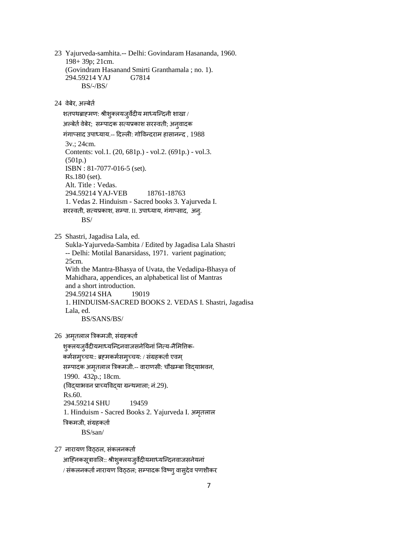23 Yajurveda-samhita.-- Delhi: Govindaram Hasananda, 1960. 198+ 39p; 21cm. (Govindram Hasanand Smirti Granthamala ; no. 1). 294.59214 YAJ G7814 BS/-/BS/

24 वेबेर, अल्बेर्त

शतपथब्राहमण: श्रीशुक्लयजुर्वेदीय माध्यन्दिनी शाखा / अल्बेर्त वेबेर; सम्पादक सत्यप्रकाश सरस्वती; अनुवादक गंगाप्साद उपाध्याय.-- दिल्ली: गोविन्दराम हासानन्द, 1988 3v.; 24cm. Contents: vol.1. (20, 681p.) - vol.2. (691p.) - vol.3. (501p.) ISBN : 81-7077-016-5 (set). Rs.180 (set). Alt. Title : Vedas. 294.59214 YAJ-VEB 18761-18763 1. Vedas 2. Hinduism - Sacred books 3. Yajurveda I. सरस्वती, सत्यप्रकाश, सम्पा. II. उपाध्याय, गंगाप्साद, अन्. BS/ 25 Shastri, Jagadisa Lala, ed. Sukla-Yajurveda-Sambita / Edited by Jagadisa Lala Shastri -- Delhi: Motilal Banarsidass, 1971. varient pagination; 25cm. With the Mantra-Bhasya of Uvata, the Vedadipa-Bhasya of Mahidhara, appendices, an alphabetical list of Mantras and a short introduction. 294.59214 SHA 19019 1. HINDUISM-SACRED BOOKS 2. VEDAS I. Shastri, Jagadisa Lala, ed. BS/SANS/BS/

 $26$  अमृतलाल त्रिकमजी, संग्रहकर्ता

शुक्लयजुर्वेदीयमाध्यन्दिनवाजसनेयिनां नित्य-नैमितिक-कर्मसमुच्चय:: ब्रह्मकर्मसमुच्चय: / संग्रहकर्ता एवम् सम्पादक अमृतलाल त्रिकमजी.-- वाराणसी: चौखम्बा विद्याभवन, 1990. 432p.; 18cm. (विद्याभवन प्राच्यविद्या ग्रन्थमाला; नं.29). Rs.60. 294.59214 SHU 19459 1. Hinduism - Sacred Books 2. Yajurveda I. अमृतलाल त्रिकमजी, संग्रहकर्ता BS/san/

 $27$  नारायण विठठल, संकलनकर्ता

आह्निकसूत्रावलि:: श्रीशुक्लयजुर्वेदीयमाध्यन्दिनवाजसनेयनां / संकलनकर्ता नारायण विठ्ठल; सम्पादक विष्ण् वास्**देव पणशीक**र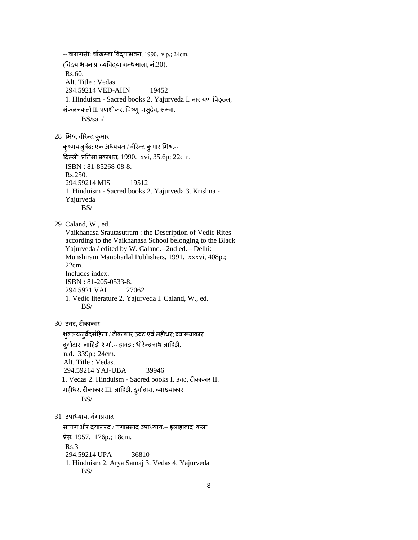-- लायाणवी: चौखम्फा त्तलद्माबलन, 1990. v.p.; 24cm.  $($ विदयाभवन प्राच्यविदया ग्रन्थमाला; नं.30). Rs.60. Alt. Title : Vedas. 294.59214 VED-AHN 19452 1. Hinduism - Sacred books 2. Yajurveda I. नारायण विठ्ठल, संकलनकर्ता II. पणशीकर, विष्णु वास्**दे**व, सम्पा. BS/san/ 28 मिश्र, वीरेन्द्र कुमार कृष्णयजुर्वेद: एक अध्ययन / वीरेन्द्र कुमार मिश्र.--दिल्ली: प्रतिभा प्रकाशन, 1990. xvi, 35.6p; 22cm. ISBN : 81-85268-08-8. Rs.250. 294.59214 MIS 19512 1. Hinduism - Sacred books 2. Yajurveda 3. Krishna - Yajurveda BS/ 29 Caland, W., ed. Vaikhanasa Srautasutram : the Description of Vedic Rites according to the Vaikhanasa School belonging to the Black Yajurveda / edited by W. Caland.--2nd ed.-- Delhi: Munshiram Manoharlal Publishers, 1991. xxxvi, 408p.; 22cm. Includes index. ISBN : 81-205-0533-8. 294.5921 VAI 27062 1. Vedic literature 2. Yajurveda I. Caland, W., ed. BS/ 30 उलट, टीकाकाय शुक्लयजुर्वेदसंहिता / टीकाकार उवट एवं महीधर; व्याख्याकार दुर्गादास लाहिड़ी शर्मा.-- हावडा: धीरेन्द्रनाथ लाहिड़ी, n.d. 339p.; 24cm. Alt. Title : Vedas. 294.59214 YAJ-UBA 39946 1. Vedas 2. Hinduism - Sacred books I. उलट, टीकाकाय II. महीधर, टीकाकार III. लाहिड़ी, दुर्गादास, व्याख्याकार BS/ 31 उपाध्याय, गंगाप्रसाद सायण और दयानन्द / गंगाप्रसाद उपाध्याय.-- इलाहाबाद: कला प्रेव, 1957. 176p.; 18cm. Rs.3 294.59214 UPA 36810 1. Hinduism 2. Arya Samaj 3. Vedas 4. Yajurveda BS/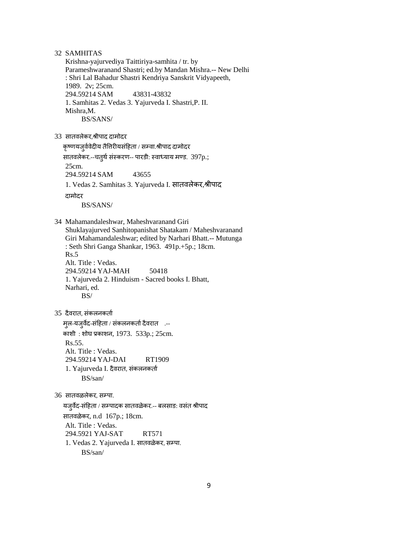32 SAMHITAS

 Krishna-yajurvediya Taittiriya-samhita / tr. by Parameshwaranand Shastri; ed.by Mandan Mishra.-- New Delhi : Shri Lal Bahadur Shastri Kendriya Sanskrit Vidyapeeth, 1989. 2v; 25cm. 294.59214 SAM 43831-43832 1. Samhitas 2. Vedas 3. Yajurveda I. Shastri,P. II. Mishra,M. BS/SANS/

33 सातवलेकर,श्रीपाद दामोदर

कृष्णयजुर्ववेदीय तैत्तिरीयसंहिता / सम्वा.श्रीपाद दामोदर

सातवलेकर.--चतुर्थ संस्करण-- पारडी: स्वाध्याय मण्ड. 397p.;

294.59214 SAM 43655

1. Vedas 2. Samhitas 3. Yajurveda I. सातवलेकर,श्रीपाद

दाभोदय

25cm.

BS/SANS/

 34 Mahamandaleshwar, Maheshvaranand Giri Shuklayajurved Sanhitopanishat Shatakam / Maheshvaranand Giri Mahamandaleshwar; edited by Narhari Bhatt.-- Mutunga : Seth Shri Ganga Shankar, 1963. 491p.+5p.; 18cm. Rs.5 Alt. Title : Vedas. 294.59214 YAJ-MAH 50418 1. Yajurveda 2. Hinduism - Sacred books I. Bhatt, Narhari, ed. BS/

35 दैवरात, संकलनकर्ता

मूल-यजुर्वेद-संहिता / संकलनकर्ता दैवरात .--काशी : शोघ प्रकाशन, 1973. 533p.; 25cm. Rs.55. Alt. Title : Vedas. 294.59214 YAJ-DAI RT1909 1. Yajurveda I. दैवरात, संकलनकर्ता BS/san/

36 सातवळलेकर, सम्पा.

यजुर्वेद-संहिता / सम्पादक सातवळेकर.-- बलसाड: वसंत श्रीपाद वातलऱेकय, n.d 167p.; 18cm. Alt. Title : Vedas. 294.5921 YAJ-SAT RT571 1. Vedas 2. Yajurveda I. सातवळेकर, सम्पा. BS/san/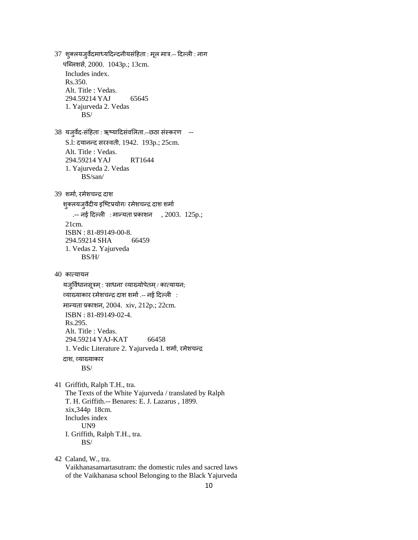37 शुक्लयजुर्वेदमाध्यदिन्दनीयसंहिता : मूल मात्र.-- दिल्ली : नाग पब्लिशर्स, 2000. 1043p.; 13cm. Includes index. Rs.350. Alt. Title : Vedas. 294.59214 YAJ 65645 1. Yajurveda 2. Vedas BS/ 38 यजुर्वेद-संहिता : ऋष्यादिसंवलिता.--छठा संस्करण --S.l: दयानन्द सरस्वती, 1942. 193p.; 25cm. Alt. Title : Vedas. 294.59214 YAJ RT1644 1. Yajurveda 2. Vedas BS/san/ 39 शर्मा, रमेशचन्द्र दाश शुक्लयजुर्वेदीय इष्टिप्रयोग/ रमेशचन्द्र दाश शर्मा .-- नई दिल्ली : मान्यता प्रकाशन , 2003. 125p.; 21cm. ISBN : 81-89149-00-8. 294.59214 SHA 66459 1. Vedas 2. Yajurveda BS/H/  $40$  कात्यायन यजुर्विधानसूत्रम् : 'साधना' व्याख्योपेतम् / कात्यायन; व्माख्माकाय यभेळचदद्र दाळ ळभाथ .-- नई हदल्री : भादमता प्रकाळन, 2004. xiv, 212p.; 22cm. ISBN : 81-89149-02-4. Rs.295. Alt. Title : Vedas. 294.59214 YAJ-KAT 66458 1. Vedic Literature 2. Yajurveda I. शर्मा, रमेशचन्द्र दाश, व्याख्याकार BS/ 41 Griffith, Ralph T.H., tra. The Texts of the White Yajurveda / translated by Ralph T. H. Griffith.-- Benares: E. J. Lazarus , 1899. xix,344p 18cm. Includes index UN9 I. Griffith, Ralph T.H., tra. BS/

 42 Caland, W., tra. Vaikhanasamartasutram: the domestic rules and sacred laws of the Vaikhanasa school Belonging to the Black Yajurveda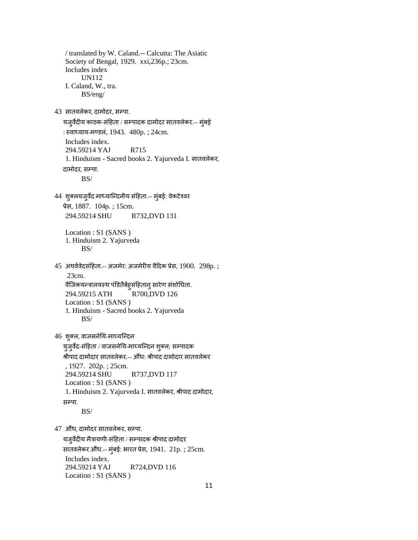/ translated by W. Caland.-- Calcutta: The Asiatic Society of Bengal, 1929. xxi,236p.; 23cm. Includes index UN112 I. Caland, W., tra. BS/eng/ 43 सातवलेकर, दामोदर, सम्पा. यजुर्वेदीय काठक-संहिता / सम्पादक दामोदर सातवलेकर.-- मुंबई : स्वाध्याय-मण्डलं, 1943. 480p. ; 24cm. Includes index. 294.59214 YAJ R715 1. Hinduism - Sacred books 2. Yajurveda I. वातलरेकय, दामोदर, सम्पा. BS/ 44 शुक्लयजुर्वेद माध्यान्दिनीय संहिता.-- मुंबई: वेकटेश्वर प्रेव, 1887. 104p. ; 15cm. 294.59214 SHU R732,DVD 131 Location : S1 (SANS ) 1. Hinduism 2. Yajurveda BS/  $45$  अथर्ववेदसंहिता.-- अजमेर: अजमेरीय वैदिक प्रेस, 1900. 298p.; 23cm. वैजिकयन्त्रालयस्थ पंडितैर्बह्संहितानु सारेण संशोघिता. 294.59215 ATH R700,DVD 126 Location : S1 (SANS ) 1. Hinduism - Sacred books 2. Yajurveda BS/ 46 शुक्ल, वाजसनेयि-माघ्यन्दिन युजुर्वेद-संहिता / वाजसनेयि-माघ्यन्दिन शुक्ल; सम्पादक श्रीपाद दामोदार सातवलेकर.-- औंध: श्रीपाद दामोदार सातवलेकर , 1927. 202p. ; 25cm. 294.59214 SHU R737,DVD 117 Location : S1 (SANS) 1. Hinduism 2. Yajurveda I. सातवलेकर, श्रीपाद दामोदार, सम्पा. BS/ 47 औंध, दामोदर सातवलेकर, सम्पा. यजुर्वेदीय मैत्रायणी-संहिता / सम्पादक श्रीपाद दामोदर सातवलेकर औंध.-- मुंबई: भारत प्रेस, 1941. 21p. ; 25cm. Includes index. 294.59214 YAJ R724,DVD 116

Location : S1 (SANS )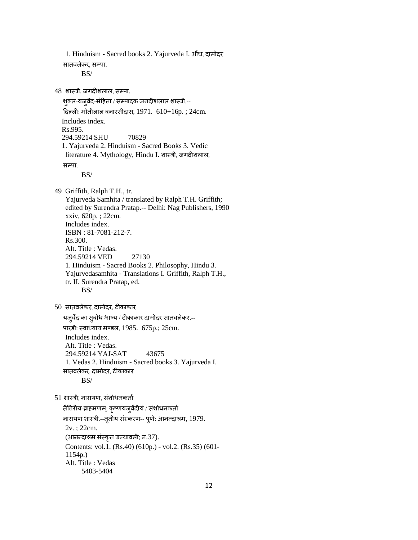सातवलेकर, सम्पा. BS/ 48 शास्त्री, जगदीशलाल, सम्पा. शुक्ल-यजुर्वेद-संहिता / सम्पादक जगदीशलाल शास्त्री.--दिल्ली: मोतीलाल बनारसीदास, 1971.  $610+16p$ .; 24cm. Includes index. Rs.995. 294.59214 SHU 70829 1. Yajurveda 2. Hinduism - Sacred Books 3. Vedic literature 4. Mythology, Hindu I. शास्त्री, जगदीशलाल, सम्पा. BS/ 49 Griffith, Ralph T.H., tr. Yajurveda Samhita / translated by Ralph T.H. Griffith; edited by Surendra Pratap.-- Delhi: Nag Publishers, 1990 xxiv, 620p. ; 22cm. Includes index. ISBN : 81-7081-212-7. Rs.300. Alt. Title : Vedas. 294.59214 VED 27130 1. Hinduism - Sacred Books 2. Philosophy, Hindu 3. Yajurvedasamhita - Translations I. Griffith, Ralph T.H., tr. II. Surendra Pratap, ed. BS/ 50 वातलरेकय, दाभोदय, टीकाकाय मजुलेद का वुफोध बाष्म / टीकाकाय दाभोदय वातलरेकय.-- ऩायडी: स्लाध्माम भण्डर, 1985. 675p.; 25cm. Includes index. Alt. Title : Vedas. 294.59214 YAJ-SAT 43675 1. Vedas 2. Hinduism - Sacred books 3. Yajurveda I. वातलरेकय, दाभोदय, टीकाकाय BS/  $51$  शास्त्री, नारायण, संशोधनकर्ता तैतिरीय-ब्राहमणम्: कृष्णयजुर्वेदीयं / संशोधनकर्ता नारायण शास्त्री.--तृतीय संस्करण-- पुणे: आनन्दाश्रम, 1979. 2v. ; 22cm. (आनन्दाश्रम संस्कृत ग्रन्थावली; न.37). Contents: vol.1. (Rs.40) (610p.) - vol.2. (Rs.35) (601- 1154p.) Alt. Title : Vedas 5403-5404

1. Hinduism - Sacred books 2. Yajurveda I. औंध, दामोदर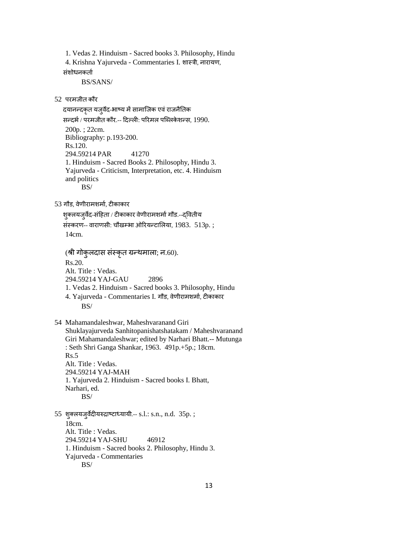1. Vedas 2. Hinduism - Sacred books 3. Philosophy, Hindu 4. Krishna Yajurveda - Commentaries I. ळास्री, नायामण, संशोधनकर्ता

BS/SANS/

 $52$  परमजीत कौर

दयानन्दकृत यजूर्वेद-भाष्य में सामाजिक एवं राजनैतिक सन्दर्भ / परमजीत कौर.-- दिल्ली: परिमल पब्लिकेशन्स, 1990. 200p. ; 22cm. Bibliography: p.193-200. Rs.120. 294.59214 PAR 41270 1. Hinduism - Sacred Books 2. Philosophy, Hindu 3. Yajurveda - Criticism, Interpretation, etc. 4. Hinduism and politics BS/

53 गौड, वेणीरामशर्मा, टीकाकार

शुक्लयजुर्वेद-संहिता / टीकाकार वेणीरामशर्मा गौड.--द्वितीय

संस्करण-- वाराणसी: चौखम्भा ओरियन्टालिया, 1983. 513p.; 14cm.

(श्री गोकुलदास संस्कृत ग्रन्थमाला; न.60). Rs.20. Alt. Title : Vedas. 294.59214 YAJ-GAU 2896 1. Vedas 2. Hinduism - Sacred books 3. Philosophy, Hindu 4. Yajurveda - Commentaries I. गौड, वेणीरामशर्मा, टीकाकार BS/

 54 Mahamandaleshwar, Maheshvaranand Giri Shuklayajurveda Sanhitopanishatshatakam / Maheshvaranand Giri Mahamandaleshwar; edited by Narhari Bhatt.-- Mutunga : Seth Shri Ganga Shankar, 1963. 491p.+5p.; 18cm. Rs.5 Alt. Title : Vedas. 294.59214 YAJ-MAH 1. Yajurveda 2. Hinduism - Sacred books I. Bhatt, Narhari, ed. BS/

 55 ळुक्रमजुलेदीमरुद्राष्टाध्मामी.-- s.l.: s.n., n.d. 35p. ; 18cm. Alt. Title : Vedas. 294.59214 YAJ-SHU 46912 1. Hinduism - Sacred books 2. Philosophy, Hindu 3. Yajurveda - Commentaries BS/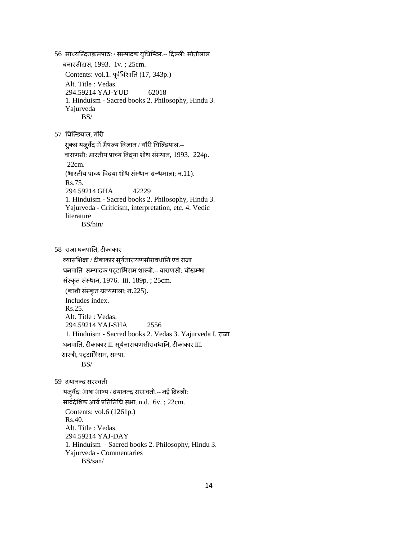56 माध्यन्दिनक्रमपाठः / सम्पादक युधिष्ठिर.-- दिल्ली: मोतीलाल फनायवीदाव, 1993. 1v. ; 25cm. Contents: vol.1. पूर्वविंशाति (17, 343p.) Alt. Title : Vedas. 294.59214 YAJ-YUD 62018 1. Hinduism - Sacred books 2. Philosophy, Hindu 3. Yajurveda BS/

57 यघन्ल्डमार, गौयी

शुक्ल यजुर्वेद में भैषज्य विज्ञान / गौरी घिल्डियाल.--वाराणसी: भारतीय प्राच्य विद्या शोध संस्थान, 1993. 224p. 22cm. (भारतीय प्राच्य विद्या शोध संस्थान ग्रन्थमाला; न.11). Rs.75. 294.59214 GHA 42229 1. Hinduism - Sacred books 2. Philosophy, Hindu 3. Yajurveda - Criticism, interpretation, etc. 4. Vedic literature BS/hin/

58 राजा घनपाति, टीकाकार

व्यासशिक्षा / टीकाकार सूर्यनारायणसीरावधानि एवं राजा घनपाति सम्पादक पट्टाभिराम शास्त्री.-- वाराणसी: चौखम्भा संस्कृत संस्थान, 1976. iii, 189p. ; 25cm. (काशी संस्कृत ग्रन्थमाला; न.225). Includes index. Rs.25. Alt. Title : Vedas. 294.59214 YAJ-SHA 2556 1. Hinduism - Sacred books 2. Vedas 3. Yajurveda I. याजा घनपाति, टीकाकार II. सूर्यनारायणसीरावधानि, टीकाकार III. शास्त्री, पट्टाभिराम, सम्पा. BS/

59 दयानन्द सरस्वती

यजुर्वेद: भाषा भाष्य / दयानन्द सरस्वती.-- नई दिल्ली: सार्वदेशिक आर्य प्रतिनिधि सभा, n.d. 6v.; 22cm. Contents: vol.6 (1261p.) Rs.40. Alt. Title : Vedas. 294.59214 YAJ-DAY 1. Hinduism - Sacred books 2. Philosophy, Hindu 3. Yajurveda - Commentaries BS/san/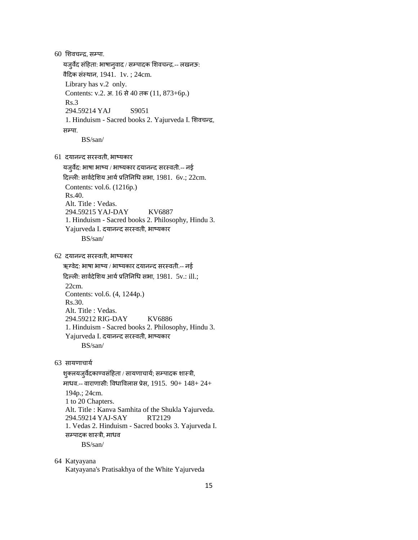$60$  शिवचन्द्र, सम्पा. यजुर्वेद संहिता: भाषानुवाद / सम्पादक शिवचन्द्र.-- लखनऊ: वैदिक संस्थान, 1941. 1v.; 24cm. Library has v.2 only. Contents: v.2. अ. 16 वे 40 तक (11, 873+6p.) Rs.3 294.59214 YAJ S9051 1. Hinduism - Sacred books 2. Yajurveda I. शिवचन्द्र, सम्पा. BS/san/ 61 दमानदद वयस्लती, बाष्मकाय यजुर्वेद: भाषा भाष्य / भाष्यकार दयानन्द सरस्वती.-- नई दिल्ली: सार्वदेशिय आर्य प्रतिनिधि सभा, 1981.  $6v$ .; 22cm. Contents: vol.6. (1216p.) Rs.40. Alt. Title : Vedas. 294.59215 YAJ-DAY KV6887 1. Hinduism - Sacred books 2. Philosophy, Hindu 3. Yajurveda I. दयानन्द सरस्वती, भाष्यकार BS/san/ 62 दमानदद वयस्लती, बाष्मकाय ऋग्वेद: भाषा भाष्य / भाष्यकार दयानन्द सरस्वती.-- नई दिल्ली: सार्वदेशिय आर्य प्रतिनिधि सभा, 1981.  $5v$ .: ill.; 22cm. Contents: vol.6. (4, 1244p.) Rs.30. Alt. Title : Vedas. 294.59212 RIG-DAY KV6886 1. Hinduism - Sacred books 2. Philosophy, Hindu 3. Yajurveda I. दयानन्द सरस्वती, भाष्यकार BS/san/ 63 सायणाचार्य शुक्लयजुर्वेदकाण्वसंहिता / सायणाचार्य; सम्पादक शास्त्री, माधव.-- वाराणासी: विधाविलास प्रेस, 1915.  $90+148+24+$  194p.; 24cm. 1 to 20 Chapters. Alt. Title : Kanva Samhita of the Shukla Yajurveda. 294.59214 YAJ-SAY RT2129 1. Vedas 2. Hinduism - Sacred books 3. Yajurveda I. सम्पादक शास्त्री, माधव BS/san/ 64 Katyayana Katyayana's Pratisakhya of the White Yajurveda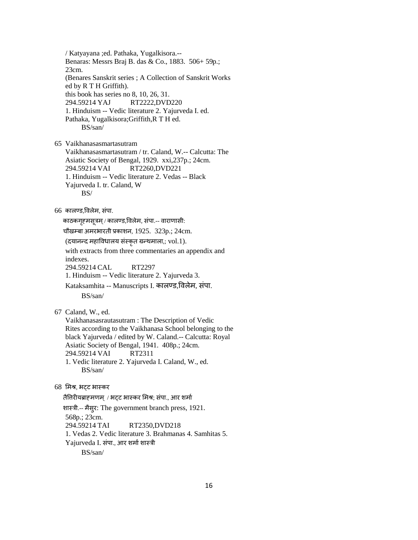/ Katyayana ;ed. Pathaka, Yugalkisora.-- Benaras: Messrs Braj B. das & Co., 1883. 506+ 59p.; 23cm. (Benares Sanskrit series ; A Collection of Sanskrit Works ed by R T H Griffith). this book has series no 8, 10, 26, 31. 294.59214 YAJ RT2222,DVD220 1. Hinduism -- Vedic literature 2. Yajurveda I. ed. Pathaka, Yugalkisora;Griffith,R T H ed. BS/san/ 65 Vaikhanasasmartasutram

 Vaikhanasasmartasutram / tr. Caland, W.-- Calcutta: The Asiatic Society of Bengal, 1929. xxi,237p.; 24cm. 294.59214 VAI RT2260,DVD221 1. Hinduism -- Vedic literature 2. Vedas -- Black Yajurveda I. tr. Caland, W BS/

#### $66$  कालण्ड,विलेम, संपा.

काठकगृहमसूत्रम् / कालण्ड,विलेम, संपा.-- वाराणासी:

चौखम्बा अमरभारती प्रकाशन, 1925. 323p.; 24cm.

 $($ दयानन्द महाविधालय संस्कृत ग्रन्थमाला,; vol.1).

 with extracts from three commentaries an appendix and indexes.

294.59214 CAL RT2297

1. Hinduism -- Vedic literature 2. Yajurveda 3.

Kataksamhita -- Manuscripts I. कालण्ड,विलेम, संपा. BS/san/

67 Caland, W., ed.

 Vaikhanasasrautasutram : The Description of Vedic Rites according to the Vaikhanasa School belonging to the black Yajurveda / edited by W. Caland.-- Calcutta: Royal Asiatic Society of Bengal, 1941. 408p.; 24cm. 294.59214 VAI RT2311 1. Vedic literature 2. Yajurveda I. Caland, W., ed. BS/san/

### 68 मभश्र, बट्ट बास्कय

तैतिरीयब्राहमणम् / भट्ट भास्कर मिश्र; संपा., आर शर्मा ळास्री.-- भैवुय: The government branch press, 1921. 568p.; 23cm. 294.59214 TAI RT2350,DVD218 1. Vedas 2. Vedic literature 3. Brahmanas 4. Samhitas 5. Yajurveda I. संपा., आर शर्मा शास्त्री BS/san/